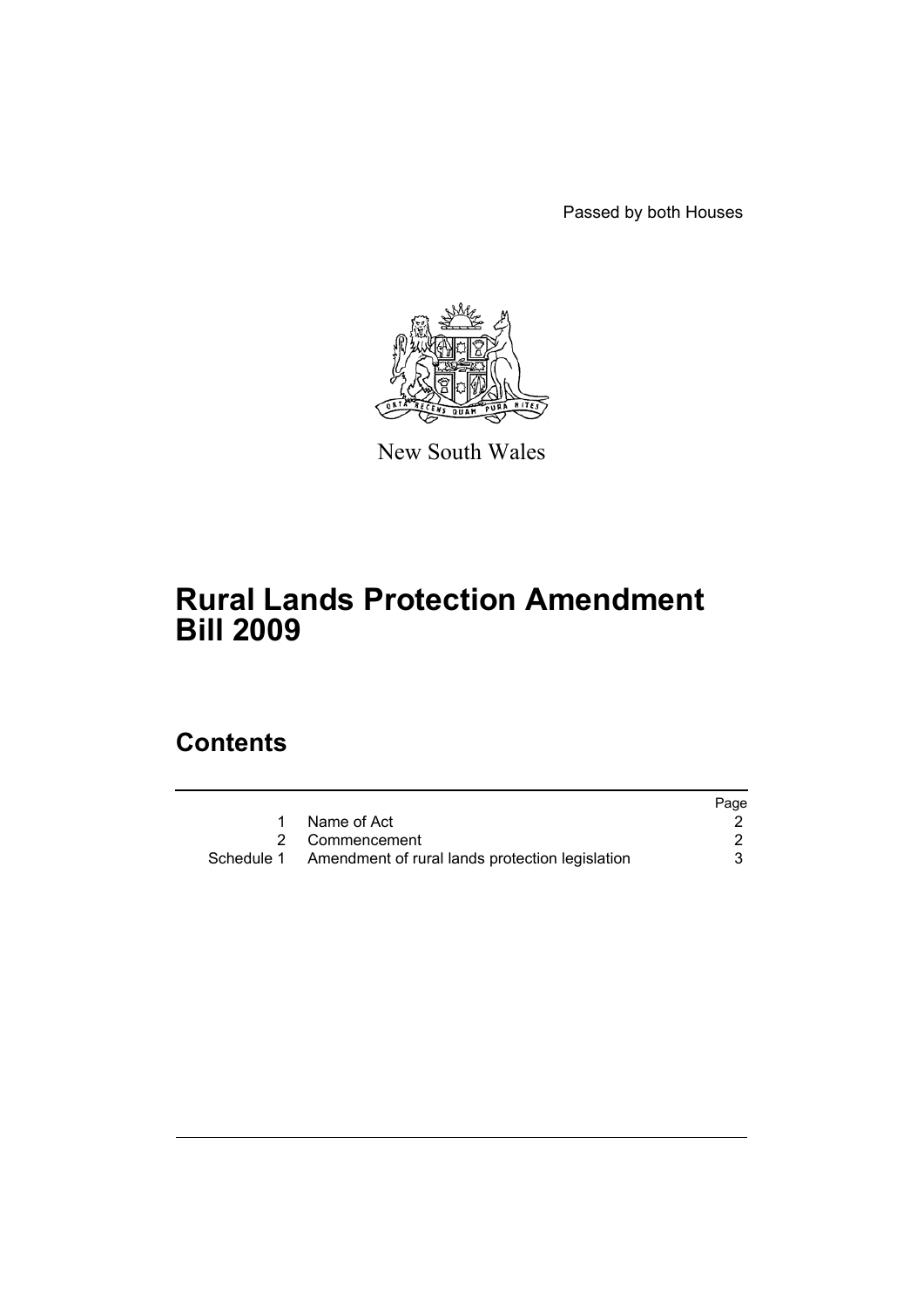Passed by both Houses



New South Wales

# **Rural Lands Protection Amendment Bill 2009**

## **Contents**

|            |                                                 | Page |
|------------|-------------------------------------------------|------|
|            | Name of Act                                     |      |
|            | 2 Commencement                                  |      |
| Schedule 1 | Amendment of rural lands protection legislation |      |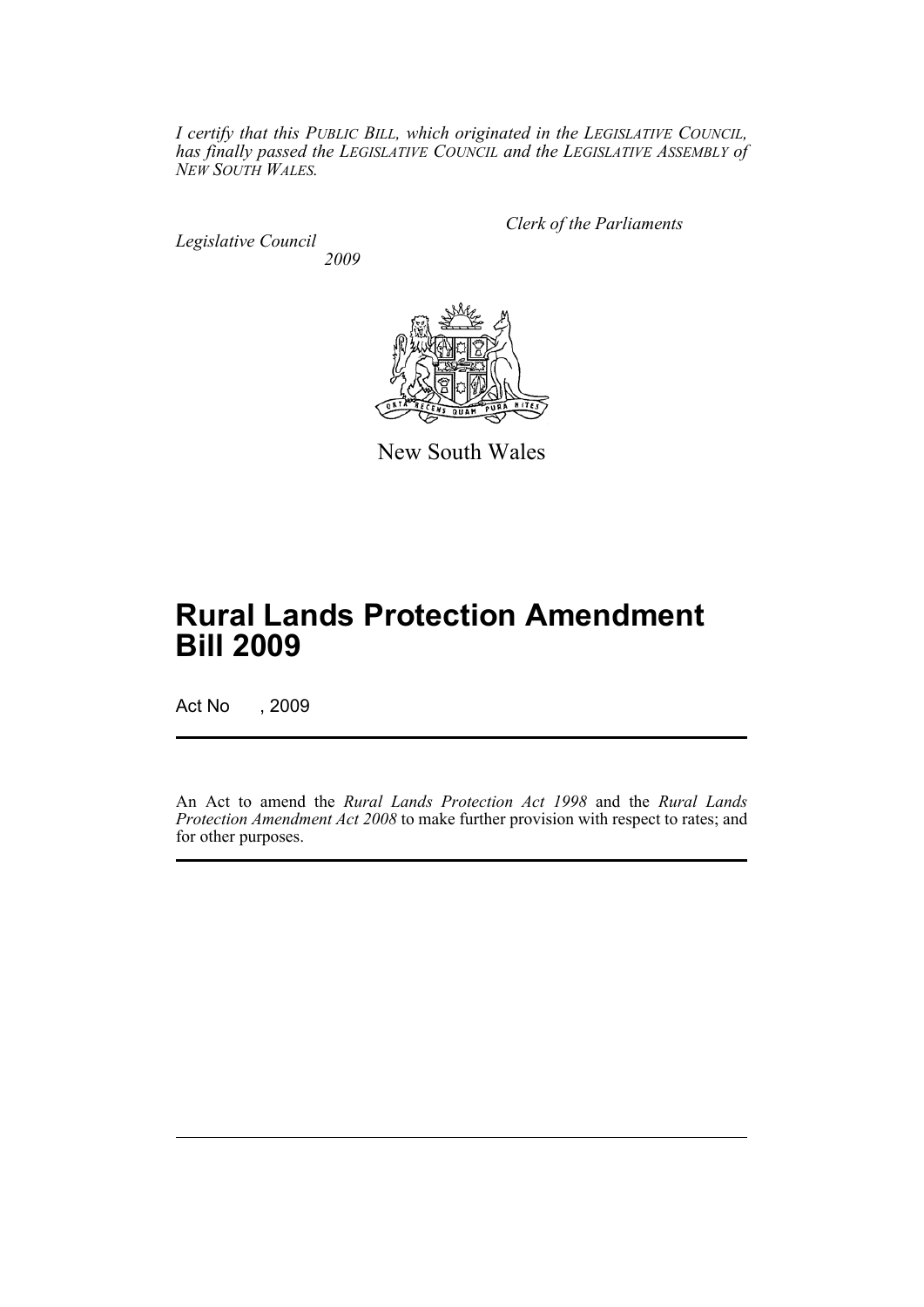*I certify that this PUBLIC BILL, which originated in the LEGISLATIVE COUNCIL, has finally passed the LEGISLATIVE COUNCIL and the LEGISLATIVE ASSEMBLY of NEW SOUTH WALES.*

*Legislative Council 2009* *Clerk of the Parliaments*



New South Wales

# **Rural Lands Protection Amendment Bill 2009**

Act No , 2009

An Act to amend the *Rural Lands Protection Act 1998* and the *Rural Lands Protection Amendment Act 2008* to make further provision with respect to rates; and for other purposes.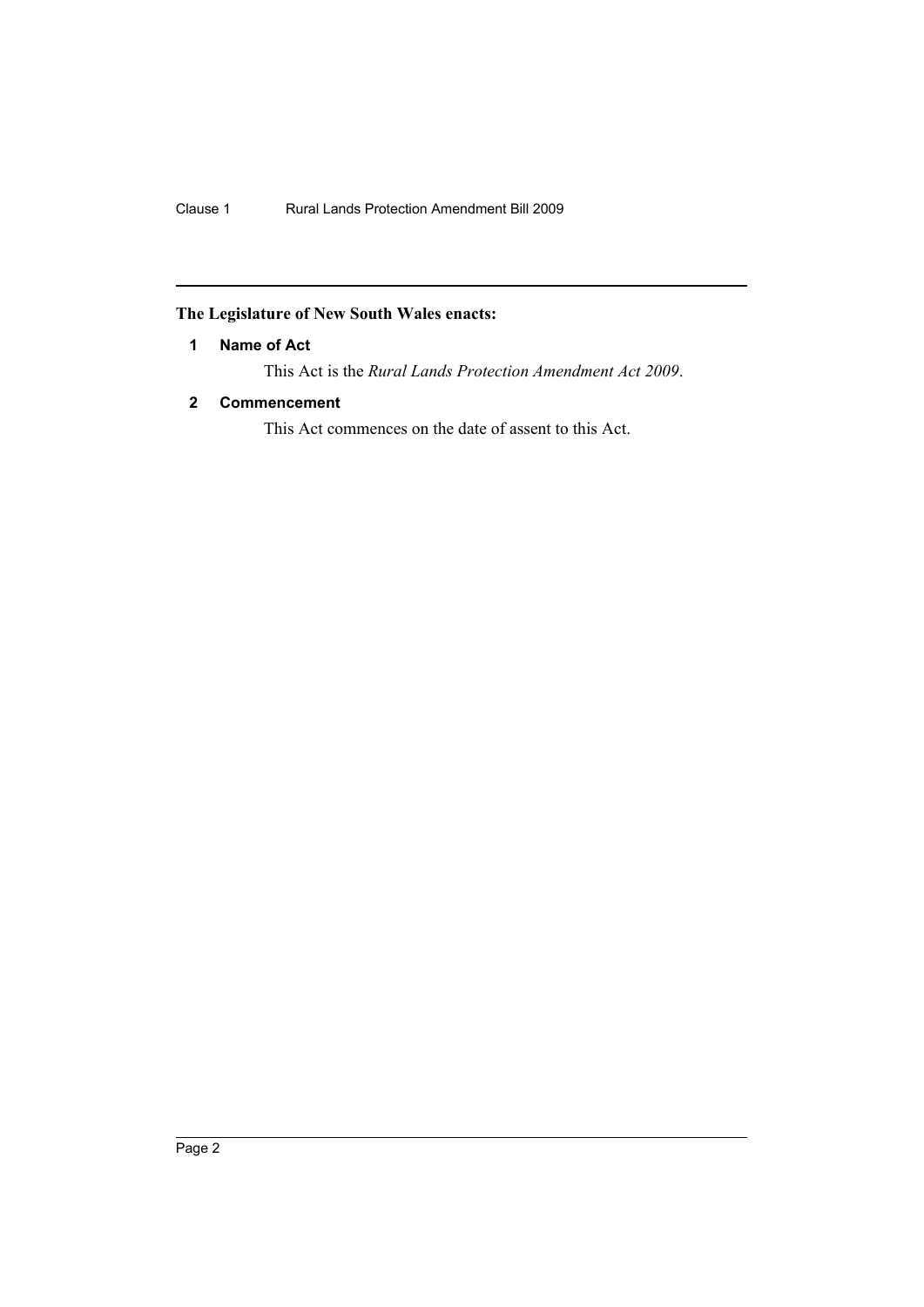## <span id="page-3-0"></span>**The Legislature of New South Wales enacts:**

### **1 Name of Act**

This Act is the *Rural Lands Protection Amendment Act 2009*.

### <span id="page-3-1"></span>**2 Commencement**

This Act commences on the date of assent to this Act.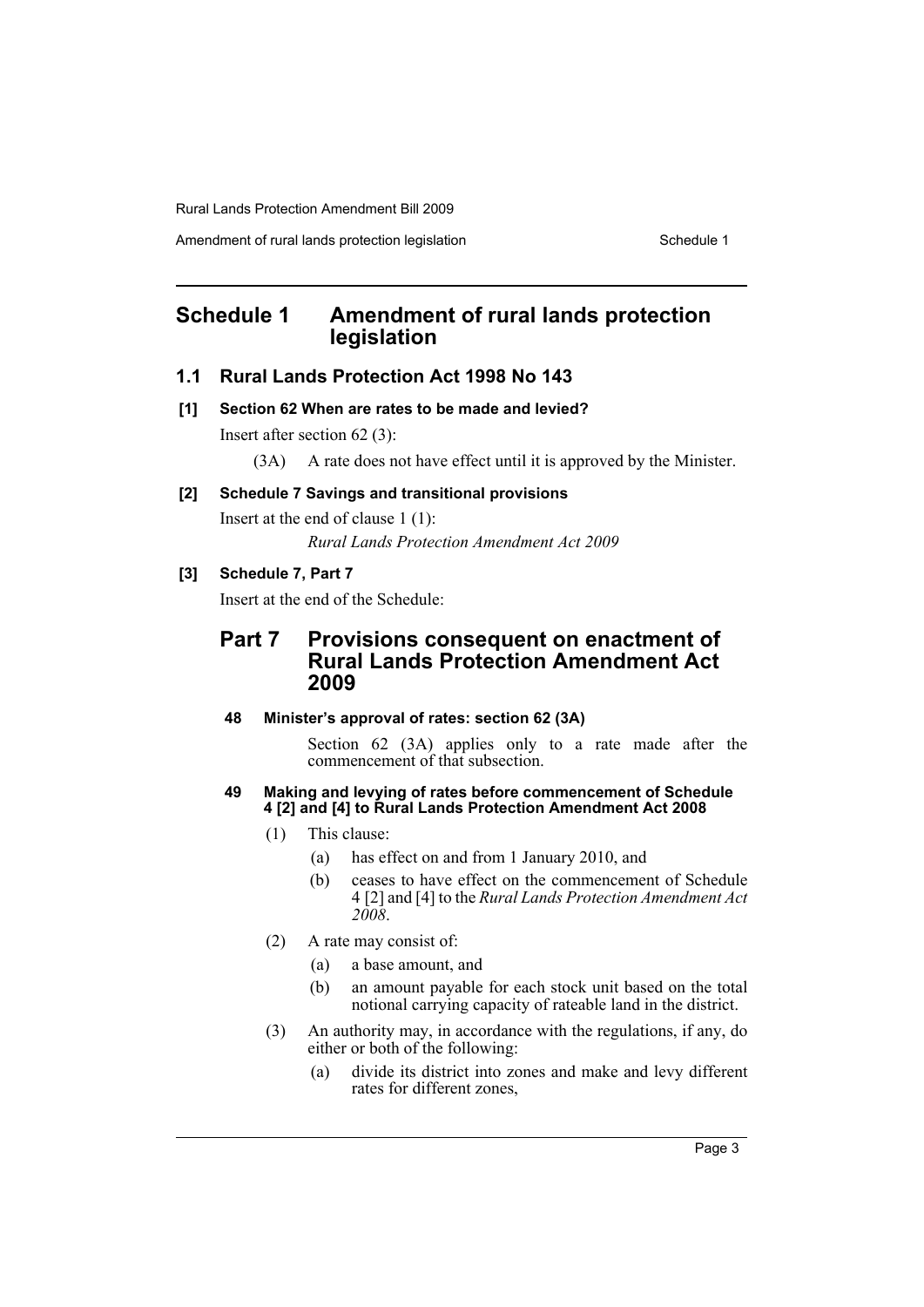Rural Lands Protection Amendment Bill 2009

Amendment of rural lands protection legislation Schedule 1

## <span id="page-4-0"></span>**Schedule 1 Amendment of rural lands protection legislation**

### **1.1 Rural Lands Protection Act 1998 No 143**

**[1] Section 62 When are rates to be made and levied?**

Insert after section 62 (3):

(3A) A rate does not have effect until it is approved by the Minister.

#### **[2] Schedule 7 Savings and transitional provisions**

Insert at the end of clause 1 (1): *Rural Lands Protection Amendment Act 2009*

## **[3] Schedule 7, Part 7**

Insert at the end of the Schedule:

## **Part 7 Provisions consequent on enactment of Rural Lands Protection Amendment Act 2009**

#### **48 Minister's approval of rates: section 62 (3A)**

Section 62 (3A) applies only to a rate made after the commencement of that subsection.

#### **49 Making and levying of rates before commencement of Schedule 4 [2] and [4] to Rural Lands Protection Amendment Act 2008**

- (1) This clause:
	- (a) has effect on and from 1 January 2010, and
	- (b) ceases to have effect on the commencement of Schedule 4 [2] and [4] to the *Rural Lands Protection Amendment Act 2008*.
- (2) A rate may consist of:
	- (a) a base amount, and
	- (b) an amount payable for each stock unit based on the total notional carrying capacity of rateable land in the district.
- (3) An authority may, in accordance with the regulations, if any, do either or both of the following:
	- (a) divide its district into zones and make and levy different rates for different zones,